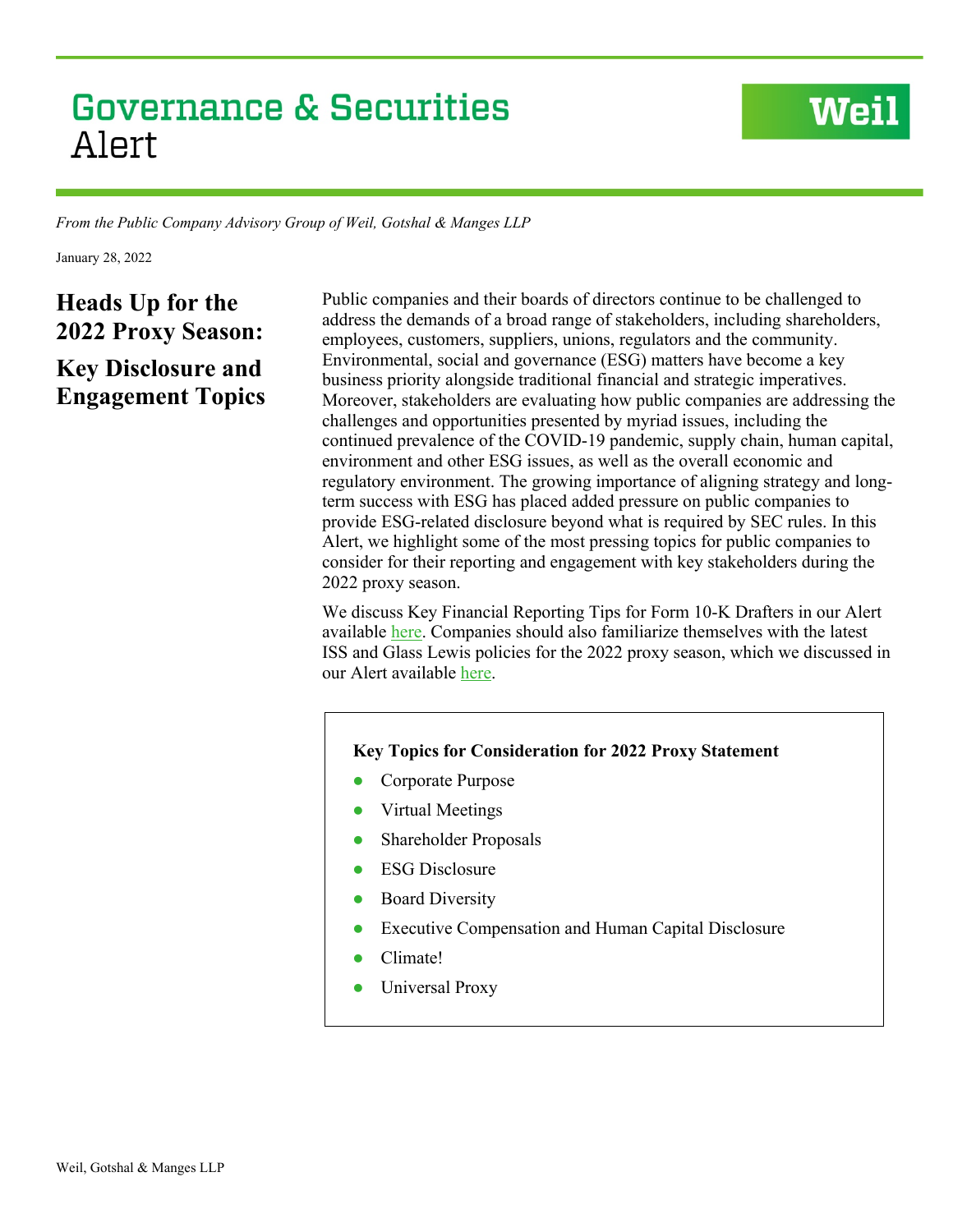# **Governance & Securities** Alert

*From the Public Company Advisory Group of Weil, Gotshal & Manges LLP*

January 28, 2022

## **Heads Up for the 2022 Proxy Season:**

### **Key Disclosure and Engagement Topics**

Public companies and their boards of directors continue to be challenged to address the demands of a broad range of stakeholders, including shareholders, employees, customers, suppliers, unions, regulators and the community. Environmental, social and governance (ESG) matters have become a key business priority alongside traditional financial and strategic imperatives. Moreover, stakeholders are evaluating how public companies are addressing the challenges and opportunities presented by myriad issues, including the continued prevalence of the COVID-19 pandemic, supply chain, human capital, environment and other ESG issues, as well as the overall economic and regulatory environment. The growing importance of aligning strategy and longterm success with ESG has placed added pressure on public companies to provide ESG-related disclosure beyond what is required by SEC rules. In this Alert, we highlight some of the most pressing topics for public companies to consider for their reporting and engagement with key stakeholders during the 2022 proxy season.

**Weil** 

We discuss Key Financial Reporting Tips for Form 10-K Drafters in our Alert available [here.](https://www.weil.com/-/media/mailings/pcag-alertkey-financial-reporting-tips-for-form-10k-drafters11822.pdf) Companies should also familiarize themselves with the latest ISS and Glass Lewis policies for the 2022 proxy season, which we discussed in our Alert available [here.](https://www.weil.com/-/media/mailings/2021/q4/211222heads-up-for-the-2022-proxy-seasonnew-and-revised-iss-and-glass-lewis-policies-focus-on-board.pdf)

#### **Key Topics for Consideration for 2022 Proxy Statement**

- Corporate Purpose
- Virtual Meetings
- Shareholder Proposals
- ESG Disclosure
- Board Diversity
- Executive Compensation and Human Capital Disclosure
- Climate!
- Universal Proxy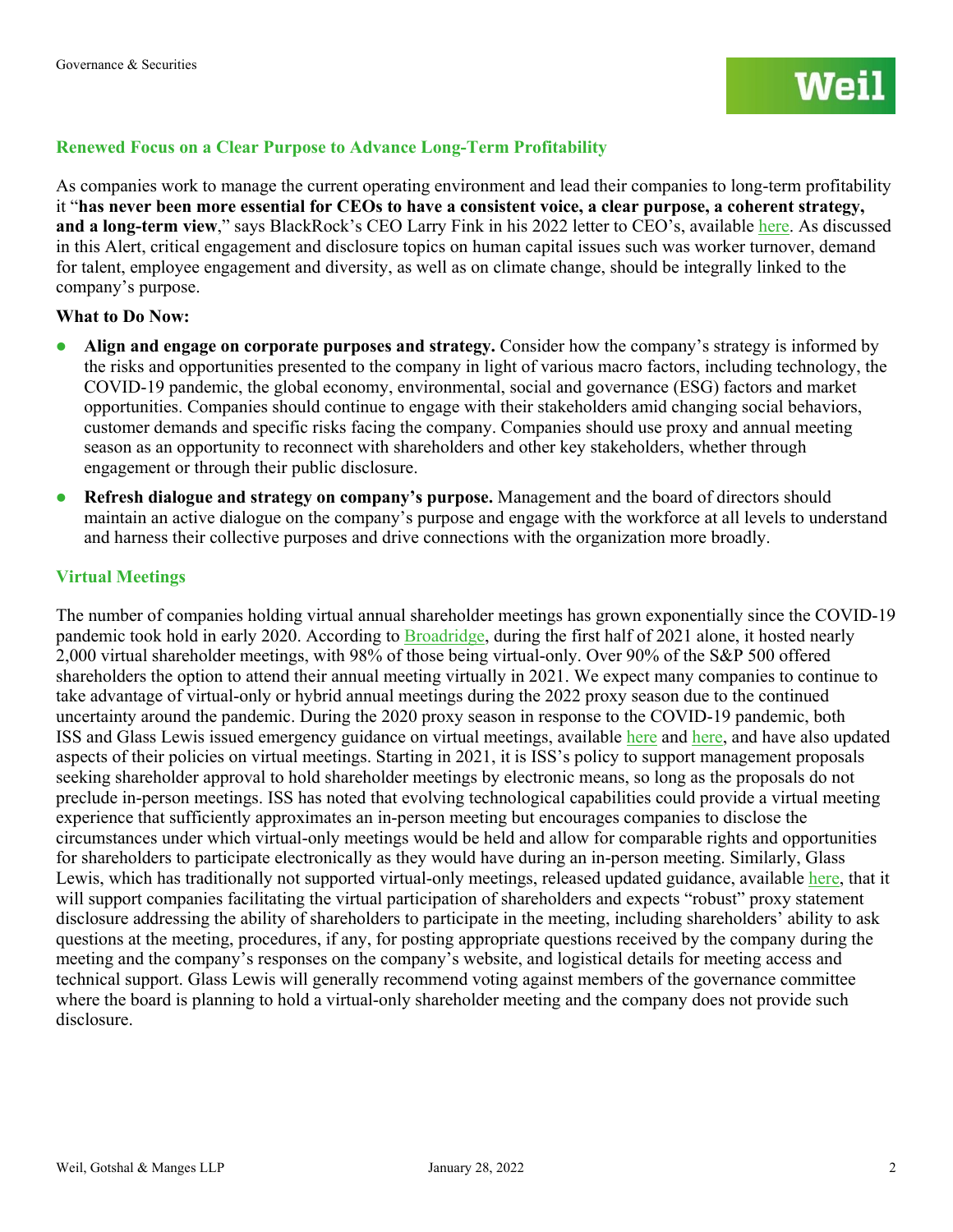#### **Renewed Focus on a Clear Purpose to Advance Long-Term Profitability**

As companies work to manage the current operating environment and lead their companies to long-term profitability it "**has never been more essential for CEOs to have a consistent voice, a clear purpose, a coherent strategy, and a long-term view**," says BlackRock's CEO Larry Fink in his 2022 letter to CEO's, available [here.](https://www.blackrock.com/corporate/investor-relations/larry-fink-ceo-letter) As discussed in this Alert, critical engagement and disclosure topics on human capital issues such was worker turnover, demand for talent, employee engagement and diversity, as well as on climate change, should be integrally linked to the company's purpose.

#### **What to Do Now:**

- **Align and engage on corporate purposes and strategy.** Consider how the company's strategy is informed by the risks and opportunities presented to the company in light of various macro factors, including technology, the COVID-19 pandemic, the global economy, environmental, social and governance (ESG) factors and market opportunities. Companies should continue to engage with their stakeholders amid changing social behaviors, customer demands and specific risks facing the company. Companies should use proxy and annual meeting season as an opportunity to reconnect with shareholders and other key stakeholders, whether through engagement or through their public disclosure.
- **Refresh dialogue and strategy on company's purpose.** Management and the board of directors should maintain an active dialogue on the company's purpose and engage with the workforce at all levels to understand and harness their collective purposes and drive connections with the organization more broadly.

#### **Virtual Meetings**

The number of companies holding virtual annual shareholder meetings has grown exponentially since the COVID-19 pandemic took hold in early 2020. According to [Broadridge,](https://www.broadridge.com/_assets/pdf/vsm-facts-and-figures-2020-brochure-january-2021.pdf) during the first half of 2021 alone, it hosted nearly 2,000 virtual shareholder meetings, with 98% of those being virtual-only. Over 90% of the S&P 500 offered shareholders the option to attend their annual meeting virtually in 2021. We expect many companies to continue to take advantage of virtual-only or hybrid annual meetings during the 2022 proxy season due to the continued uncertainty around the pandemic. During the 2020 proxy season in response to the COVID-19 pandemic, both ISS and Glass Lewis issued emergency guidance on virtual meetings, available [here](https://www.issgovernance.com/file/publications/ISS-Annual-General-Meetings-COVID-19.pdf) and [here,](https://www.glasslewis.com/immediate-glass-lewis-guidelines-update-on-virtual-only-meetings-due-to-covid-19-coronavirus/) and have also updated aspects of their policies on virtual meetings. Starting in 2021, it is ISS's policy to support management proposals seeking shareholder approval to hold shareholder meetings by electronic means, so long as the proposals do not preclude in-person meetings. ISS has noted that evolving technological capabilities could provide a virtual meeting experience that sufficiently approximates an in-person meeting but encourages companies to disclose the circumstances under which virtual-only meetings would be held and allow for comparable rights and opportunities for shareholders to participate electronically as they would have during an in-person meeting. Similarly, Glass Lewis, which has traditionally not supported virtual-only meetings, released updated guidance, available [here,](https://www.glasslewis.com/glass-lewis-updated-approach-to-virtual-meetings-globally/) that it will support companies facilitating the virtual participation of shareholders and expects "robust" proxy statement disclosure addressing the ability of shareholders to participate in the meeting, including shareholders' ability to ask questions at the meeting, procedures, if any, for posting appropriate questions received by the company during the meeting and the company's responses on the company's website, and logistical details for meeting access and technical support. Glass Lewis will generally recommend voting against members of the governance committee where the board is planning to hold a virtual-only shareholder meeting and the company does not provide such disclosure.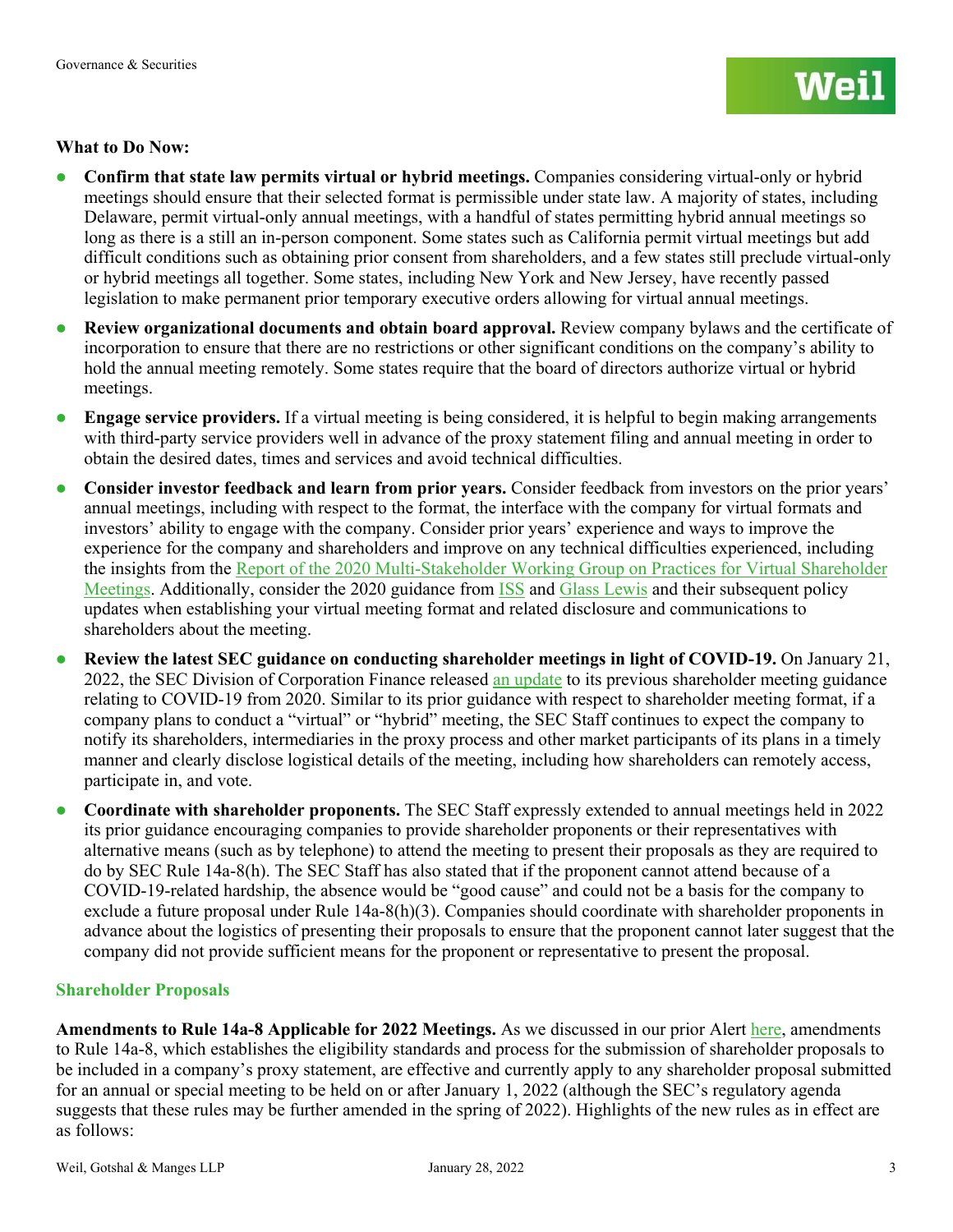#### **What to Do Now:**

- **Confirm that state law permits virtual or hybrid meetings.** Companies considering virtual-only or hybrid meetings should ensure that their selected format is permissible under state law. A majority of states, including Delaware, permit virtual-only annual meetings, with a handful of states permitting hybrid annual meetings so long as there is a still an in-person component. Some states such as California permit virtual meetings but add difficult conditions such as obtaining prior consent from shareholders, and a few states still preclude virtual-only or hybrid meetings all together. Some states, including New York and New Jersey, have recently passed legislation to make permanent prior temporary executive orders allowing for virtual annual meetings.
- **Review organizational documents and obtain board approval.** Review company bylaws and the certificate of incorporation to ensure that there are no restrictions or other significant conditions on the company's ability to hold the annual meeting remotely. Some states require that the board of directors authorize virtual or hybrid meetings.
- **Engage service providers.** If a virtual meeting is being considered, it is helpful to begin making arrangements with third-party service providers well in advance of the proxy statement filing and annual meeting in order to obtain the desired dates, times and services and avoid technical difficulties.
- **Consider investor feedback and learn from prior years.** Consider feedback from investors on the prior years' annual meetings, including with respect to the format, the interface with the company for virtual formats and investors' ability to engage with the company. Consider prior years' experience and ways to improve the experience for the company and shareholders and improve on any technical difficulties experienced, including the insights from the [Report of the 2020 Multi-Stakeholder Working Group on Practices for Virtual](https://cclg.rutgers.edu/news/report-of-the-2020-multi-stakeholder-working-group-on-practices-for-virtual-shareholder-meetings/) Shareholder [Meetings.](https://cclg.rutgers.edu/news/report-of-the-2020-multi-stakeholder-working-group-on-practices-for-virtual-shareholder-meetings/) Additionally, consider the 2020 guidance from **ISS** and [Glass Lewis](https://www.glasslewis.com/immediate-glass-lewis-guidelines-update-on-virtual-only-meetings-due-to-covid-19-coronavirus/) and their subsequent policy updates when establishing your virtual meeting format and related disclosure and communications to shareholders about the meeting.
- **Review the latest SEC guidance on conducting shareholder meetings in light of COVID-19.** On January 21, 2022, the SEC Division of Corporation Finance released [an update](https://www.sec.gov/ocr/staff-guidance-conducting-annual-meetings-light-covid-19-concerns) to its previous shareholder meeting guidance relating to COVID-19 from 2020. Similar to its prior guidance with respect to shareholder meeting format, if a company plans to conduct a "virtual" or "hybrid" meeting, the SEC Staff continues to expect the company to notify its shareholders, intermediaries in the proxy process and other market participants of its plans in a timely manner and clearly disclose logistical details of the meeting, including how shareholders can remotely access, participate in, and vote.
- **Coordinate with shareholder proponents.** The SEC Staff expressly extended to annual meetings held in 2022 its prior guidance encouraging companies to provide shareholder proponents or their representatives with alternative means (such as by telephone) to attend the meeting to present their proposals as they are required to do by SEC Rule 14a-8(h). The SEC Staff has also stated that if the proponent cannot attend because of a COVID-19-related hardship, the absence would be "good cause" and could not be a basis for the company to exclude a future proposal under Rule 14a-8(h)(3). Companies should coordinate with shareholder proponents in advance about the logistics of presenting their proposals to ensure that the proponent cannot later suggest that the company did not provide sufficient means for the proponent or representative to present the proposal.

#### **Shareholder Proposals**

**Amendments to Rule 14a-8 Applicable for 2022 Meetings.** As we discussed in our prior Alert [here,](https://www.weil.com/%7E/media/mailings/2020/q3/sec-adopts-amendments-to-rule-14a8.pdf) amendments to Rule 14a-8, which establishes the eligibility standards and process for the submission of shareholder proposals to be included in a company's proxy statement, are effective and currently apply to any shareholder proposal submitted for an annual or special meeting to be held on or after January 1, 2022 (although the SEC's regulatory agenda suggests that these rules may be further amended in the spring of 2022). Highlights of the new rules as in effect are as follows: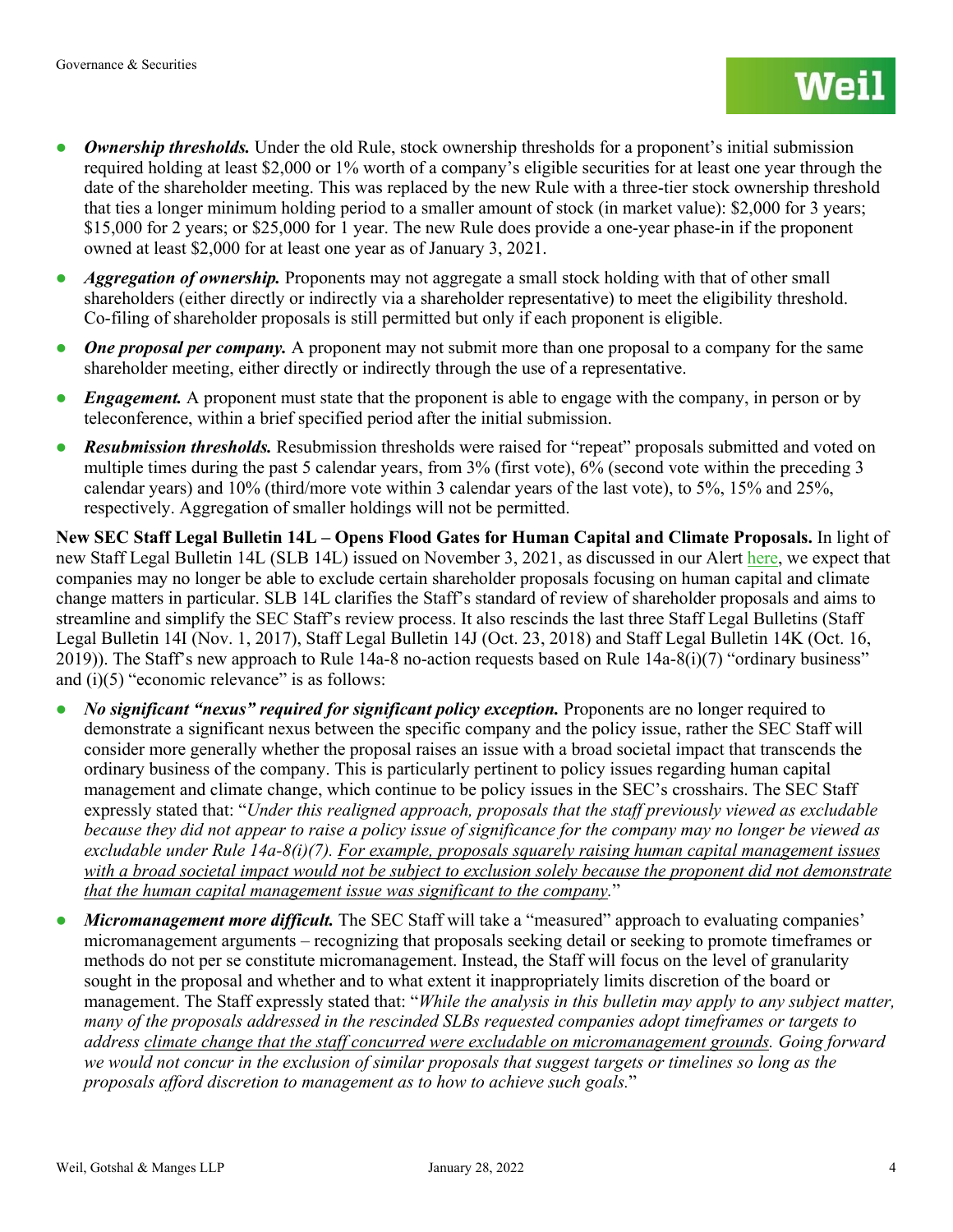- *Ownership thresholds.* Under the old Rule, stock ownership thresholds for a proponent's initial submission required holding at least \$2,000 or 1% worth of a company's eligible securities for at least one year through the date of the shareholder meeting. This was replaced by the new Rule with a three-tier stock ownership threshold that ties a longer minimum holding period to a smaller amount of stock (in market value): \$2,000 for 3 years; \$15,000 for 2 years; or \$25,000 for 1 year. The new Rule does provide a one-year phase-in if the proponent owned at least \$2,000 for at least one year as of January 3, 2021.
- **•** *Aggregation of ownership.* Proponents may not aggregate a small stock holding with that of other small shareholders (either directly or indirectly via a shareholder representative) to meet the eligibility threshold. Co-filing of shareholder proposals is still permitted but only if each proponent is eligible.
- *One proposal per company.* A proponent may not submit more than one proposal to a company for the same shareholder meeting, either directly or indirectly through the use of a representative.
- *Engagement.* A proponent must state that the proponent is able to engage with the company, in person or by teleconference, within a brief specified period after the initial submission.
- *Resubmission thresholds.* Resubmission thresholds were raised for "repeat" proposals submitted and voted on multiple times during the past 5 calendar years, from 3% (first vote), 6% (second vote within the preceding 3 calendar years) and 10% (third/more vote within 3 calendar years of the last vote), to 5%, 15% and 25%, respectively. Aggregation of smaller holdings will not be permitted.

**New SEC Staff Legal Bulletin 14L – Opens Flood Gates for Human Capital and Climate Proposals.** In light of new Staff Legal Bulletin 14L (SLB 14L) issued on November 3, 2021, as discussed in our Alert [here,](https://www.weil.com/-/media/mailings/2021/q4/20211116sec-issues-new-staff-guidance-slb-14l-that-makes-it-harder-to-exclude-climate-change-and-hum.pdf) we expect that companies may no longer be able to exclude certain shareholder proposals focusing on human capital and climate change matters in particular. SLB 14L clarifies the Staff's standard of review of shareholder proposals and aims to streamline and simplify the SEC Staff's review process. It also rescinds the last three Staff Legal Bulletins (Staff Legal Bulletin 14I (Nov. 1, 2017), Staff Legal Bulletin 14J (Oct. 23, 2018) and Staff Legal Bulletin 14K (Oct. 16, 2019)). The Staff's new approach to Rule 14a-8 no-action requests based on Rule 14a-8(i)(7) "ordinary business" and  $(i)(5)$  "economic relevance" is as follows:

- *No significant "nexus" required for significant policy exception.* Proponents are no longer required to demonstrate a significant nexus between the specific company and the policy issue, rather the SEC Staff will consider more generally whether the proposal raises an issue with a broad societal impact that transcends the ordinary business of the company. This is particularly pertinent to policy issues regarding human capital management and climate change, which continue to be policy issues in the SEC's crosshairs. The SEC Staff expressly stated that: "*Under this realigned approach, proposals that the staff previously viewed as excludable because they did not appear to raise a policy issue of significance for the company may no longer be viewed as excludable under Rule 14a-8(i)(7). For example, proposals squarely raising human capital management issues*  with a broad societal impact would not be subject to exclusion solely because the proponent did not demonstrate *that the human capital management issue was significant to the company.*"
- Micromanagement more difficult. The SEC Staff will take a "measured" approach to evaluating companies' micromanagement arguments – recognizing that proposals seeking detail or seeking to promote timeframes or methods do not per se constitute micromanagement. Instead, the Staff will focus on the level of granularity sought in the proposal and whether and to what extent it inappropriately limits discretion of the board or management. The Staff expressly stated that: "*While the analysis in this bulletin may apply to any subject matter, many of the proposals addressed in the rescinded SLBs requested companies adopt timeframes or targets to address climate change that the staff concurred were excludable on micromanagement grounds. Going forward we would not concur in the exclusion of similar proposals that suggest targets or timelines so long as the proposals afford discretion to management as to how to achieve such goals.*"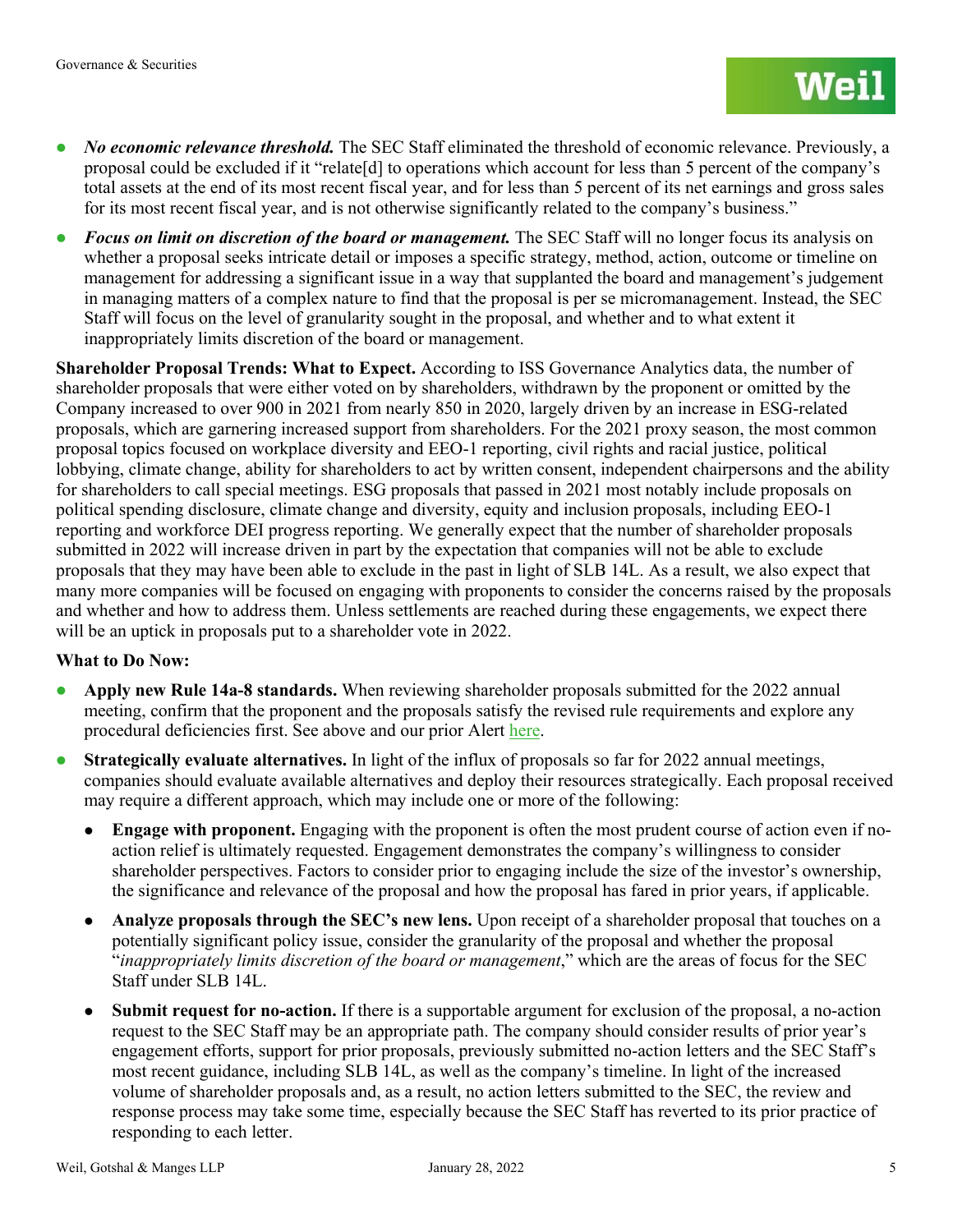- *No economic relevance threshold.* The SEC Staff eliminated the threshold of economic relevance. Previously, a proposal could be excluded if it "relate[d] to operations which account for less than 5 percent of the company's total assets at the end of its most recent fiscal year, and for less than 5 percent of its net earnings and gross sales for its most recent fiscal year, and is not otherwise significantly related to the company's business."
- **Focus on limit on discretion of the board or management.** The SEC Staff will no longer focus its analysis on whether a proposal seeks intricate detail or imposes a specific strategy, method, action, outcome or timeline on management for addressing a significant issue in a way that supplanted the board and management's judgement in managing matters of a complex nature to find that the proposal is per se micromanagement. Instead, the SEC Staff will focus on the level of granularity sought in the proposal, and whether and to what extent it inappropriately limits discretion of the board or management.

**Shareholder Proposal Trends: What to Expect.** According to ISS Governance Analytics data, the number of shareholder proposals that were either voted on by shareholders, withdrawn by the proponent or omitted by the Company increased to over 900 in 2021 from nearly 850 in 2020, largely driven by an increase in ESG-related proposals, which are garnering increased support from shareholders. For the 2021 proxy season, the most common proposal topics focused on workplace diversity and EEO-1 reporting, civil rights and racial justice, political lobbying, climate change, ability for shareholders to act by written consent, independent chairpersons and the ability for shareholders to call special meetings. ESG proposals that passed in 2021 most notably include proposals on political spending disclosure, climate change and diversity, equity and inclusion proposals, including EEO-1 reporting and workforce DEI progress reporting. We generally expect that the number of shareholder proposals submitted in 2022 will increase driven in part by the expectation that companies will not be able to exclude proposals that they may have been able to exclude in the past in light of SLB 14L. As a result, we also expect that many more companies will be focused on engaging with proponents to consider the concerns raised by the proposals and whether and how to address them. Unless settlements are reached during these engagements, we expect there will be an uptick in proposals put to a shareholder vote in 2022.

#### **What to Do Now:**

- **Apply new Rule 14a-8 standards.** When reviewing shareholder proposals submitted for the 2022 annual meeting, confirm that the proponent and the proposals satisfy the revised rule requirements and explore any procedural deficiencies first. See above and our prior Alert [here.](https://www.weil.com/%7E/media/mailings/2020/q3/sec-adopts-amendments-to-rule-14a8.pdf)
- **Strategically evaluate alternatives.** In light of the influx of proposals so far for 2022 annual meetings, companies should evaluate available alternatives and deploy their resources strategically. Each proposal received may require a different approach, which may include one or more of the following:
	- **Engage with proponent.** Engaging with the proponent is often the most prudent course of action even if noaction relief is ultimately requested. Engagement demonstrates the company's willingness to consider shareholder perspectives. Factors to consider prior to engaging include the size of the investor's ownership, the significance and relevance of the proposal and how the proposal has fared in prior years, if applicable.
	- **Analyze proposals through the SEC's new lens.** Upon receipt of a shareholder proposal that touches on a potentially significant policy issue, consider the granularity of the proposal and whether the proposal "*inappropriately limits discretion of the board or management*," which are the areas of focus for the SEC Staff under SLB 14L.
	- **Submit request for no-action.** If there is a supportable argument for exclusion of the proposal, a no-action request to the SEC Staff may be an appropriate path. The company should consider results of prior year's engagement efforts, support for prior proposals, previously submitted no-action letters and the SEC Staff's most recent guidance, including SLB 14L, as well as the company's timeline. In light of the increased volume of shareholder proposals and, as a result, no action letters submitted to the SEC, the review and response process may take some time, especially because the SEC Staff has reverted to its prior practice of responding to each letter.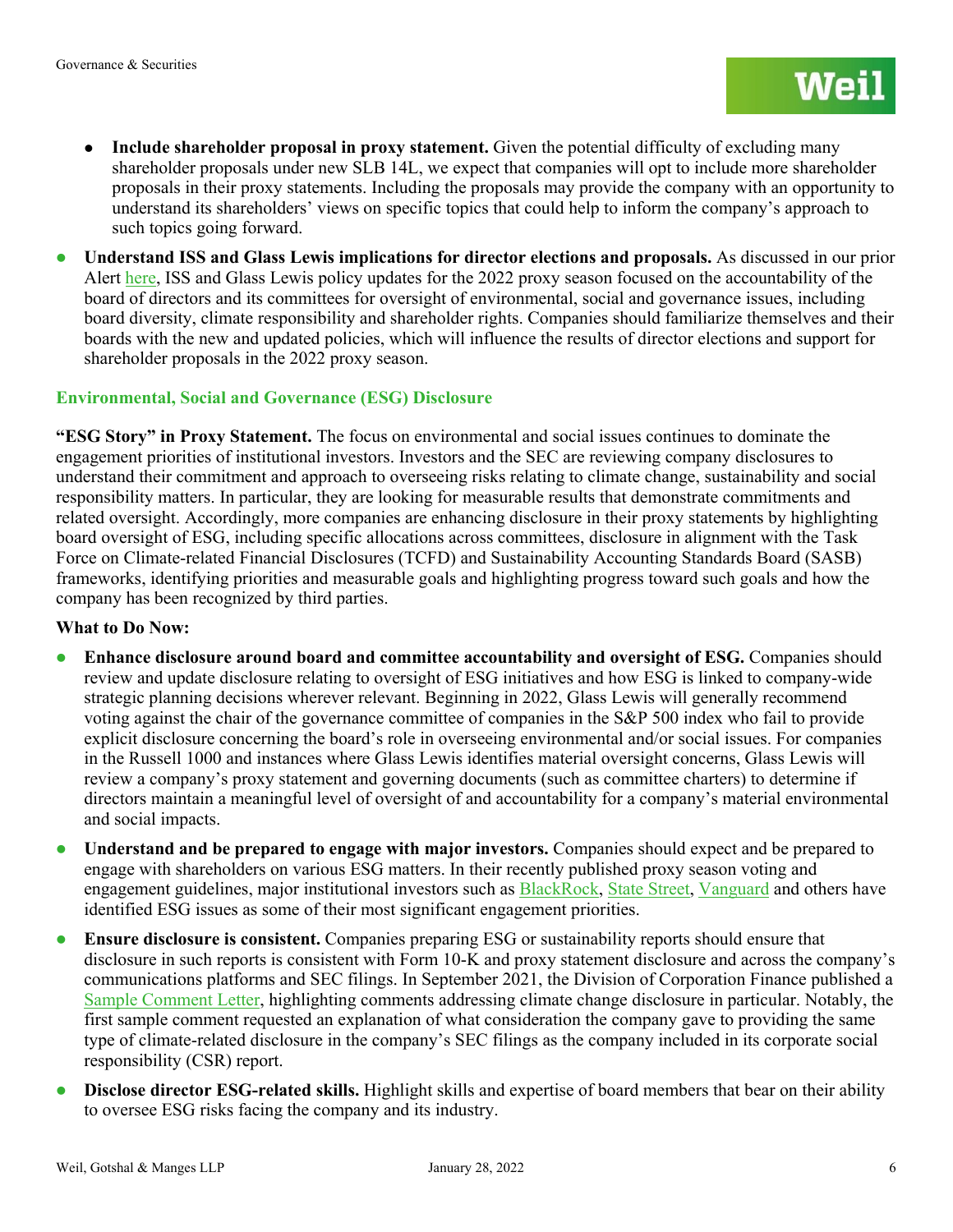- **Include shareholder proposal in proxy statement.** Given the potential difficulty of excluding many shareholder proposals under new SLB 14L, we expect that companies will opt to include more shareholder proposals in their proxy statements. Including the proposals may provide the company with an opportunity to understand its shareholders' views on specific topics that could help to inform the company's approach to such topics going forward.
- **Understand ISS and Glass Lewis implications for director elections and proposals.** As discussed in our prior Alert [here,](https://www.weil.com/-/media/mailings/2021/q4/211222heads-up-for-the-2022-proxy-seasonnew-and-revised-iss-and-glass-lewis-policies-focus-on-board.pdf) ISS and Glass Lewis policy updates for the 2022 proxy season focused on the accountability of the board of directors and its committees for oversight of environmental, social and governance issues, including board diversity, climate responsibility and shareholder rights. Companies should familiarize themselves and their boards with the new and updated policies, which will influence the results of director elections and support for shareholder proposals in the 2022 proxy season.

#### **Environmental, Social and Governance (ESG) Disclosure**

**"ESG Story" in Proxy Statement.** The focus on environmental and social issues continues to dominate the engagement priorities of institutional investors. Investors and the SEC are reviewing company disclosures to understand their commitment and approach to overseeing risks relating to climate change, sustainability and social responsibility matters. In particular, they are looking for measurable results that demonstrate commitments and related oversight. Accordingly, more companies are enhancing disclosure in their proxy statements by highlighting board oversight of ESG, including specific allocations across committees, disclosure in alignment with the Task Force on Climate-related Financial Disclosures (TCFD) and Sustainability Accounting Standards Board (SASB) frameworks, identifying priorities and measurable goals and highlighting progress toward such goals and how the company has been recognized by third parties.

#### **What to Do Now:**

- **Enhance disclosure around board and committee accountability and oversight of ESG.** Companies should review and update disclosure relating to oversight of ESG initiatives and how ESG is linked to company-wide strategic planning decisions wherever relevant. Beginning in 2022, Glass Lewis will generally recommend voting against the chair of the governance committee of companies in the S&P 500 index who fail to provide explicit disclosure concerning the board's role in overseeing environmental and/or social issues. For companies in the Russell 1000 and instances where Glass Lewis identifies material oversight concerns, Glass Lewis will review a company's proxy statement and governing documents (such as committee charters) to determine if directors maintain a meaningful level of oversight of and accountability for a company's material environmental and social impacts.
- **Understand and be prepared to engage with major investors.** Companies should expect and be prepared to engage with shareholders on various ESG matters. In their recently published proxy season voting and engagement guidelines, major institutional investors such as **BlackRock**, [State Street,](https://www.ssga.com/us/en/institutional/ic/insights/ceo-letter-2022-proxy-voting-agenda) [Vanguard](https://about.vanguard.com/investment-stewardship/principles-policies/) and others have identified ESG issues as some of their most significant engagement priorities.
- **Ensure disclosure is consistent.** Companies preparing ESG or sustainability reports should ensure that disclosure in such reports is consistent with Form 10-K and proxy statement disclosure and across the company's communications platforms and SEC filings. In September 2021, the Division of Corporation Finance published a [Sample Comment Letter,](https://www.sec.gov/corpfin/sample-letter-climate-change-disclosures) highlighting comments addressing climate change disclosure in particular. Notably, the first sample comment requested an explanation of what consideration the company gave to providing the same type of climate-related disclosure in the company's SEC filings as the company included in its corporate social responsibility (CSR) report.
- **Disclose director ESG-related skills.** Highlight skills and expertise of board members that bear on their ability to oversee ESG risks facing the company and its industry.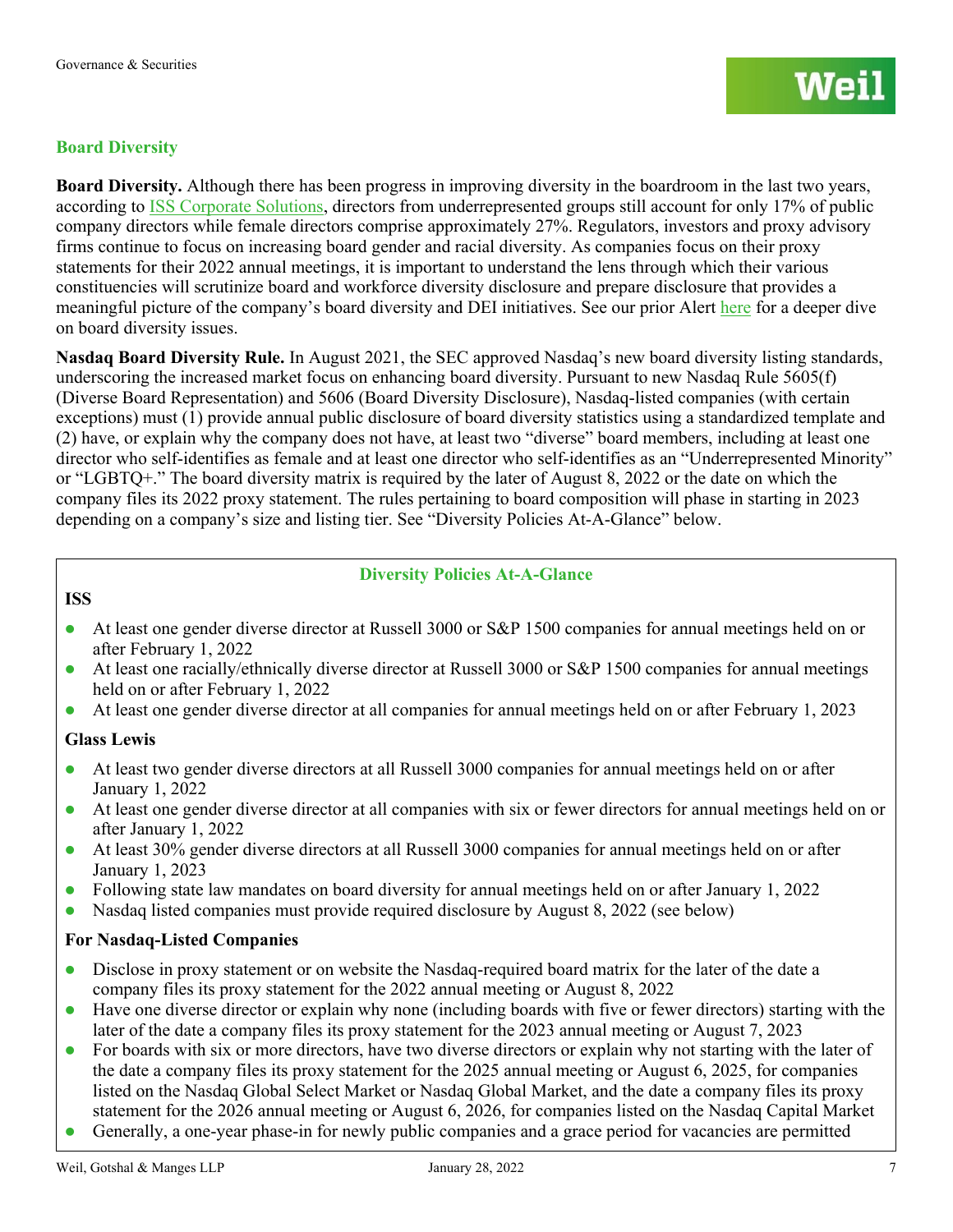#### **Board Diversity**

**Board Diversity.** Although there has been progress in improving diversity in the boardroom in the last two years, according to [ISS Corporate Solutions,](https://www.isscorporatesolutions.com/number-of-black-director-appointments-grows-exponentially-at-large-us-companies/) directors from underrepresented groups still account for only 17% of public company directors while female directors comprise approximately 27%. Regulators, investors and proxy advisory firms continue to focus on increasing board gender and racial diversity. As companies focus on their proxy statements for their 2022 annual meetings, it is important to understand the lens through which their various constituencies will scrutinize board and workforce diversity disclosure and prepare disclosure that provides a meaningful picture of the company's board diversity and DEI initiatives. See our prior Alert [here](https://governance.weil.com/wp-content/uploads/2021/11/2021.03.22-Heads-Up-for-the-2021-Proxy-Season-Focus-on-Diversity-Disclosure.pdf) for a deeper dive on board diversity issues.

**Nasdaq Board Diversity Rule.** In August 2021, the SEC approved Nasdaq's new board diversity listing standards, underscoring the increased market focus on enhancing board diversity. Pursuant to new Nasdaq Rule 5605(f) (Diverse Board Representation) and 5606 (Board Diversity Disclosure), Nasdaq-listed companies (with certain exceptions) must (1) provide annual public disclosure of board diversity statistics using a standardized template and (2) have, or explain why the company does not have, at least two "diverse" board members, including at least one director who self-identifies as female and at least one director who self-identifies as an "Underrepresented Minority" or "LGBTQ+." The board diversity matrix is required by the later of August 8, 2022 or the date on which the company files its 2022 proxy statement. The rules pertaining to board composition will phase in starting in 2023 depending on a company's size and listing tier. See "Diversity Policies At-A-Glance" below.

#### **Diversity Policies At-A-Glance**

#### **ISS**

- At least one gender diverse director at Russell 3000 or S&P 1500 companies for annual meetings held on or after February 1, 2022
- At least one racially/ethnically diverse director at Russell 3000 or S&P 1500 companies for annual meetings held on or after February 1, 2022
- At least one gender diverse director at all companies for annual meetings held on or after February 1, 2023

#### **Glass Lewis**

- At least two gender diverse directors at all Russell 3000 companies for annual meetings held on or after January 1, 2022
- At least one gender diverse director at all companies with six or fewer directors for annual meetings held on or after January 1, 2022
- At least 30% gender diverse directors at all Russell 3000 companies for annual meetings held on or after January 1, 2023
- Following state law mandates on board diversity for annual meetings held on or after January 1, 2022
- Nasdaq listed companies must provide required disclosure by August 8, 2022 (see below)

#### **For Nasdaq-Listed Companies**

- Disclose in proxy statement or on website the Nasdaq-required board matrix for the later of the date a company files its proxy statement for the 2022 annual meeting or August 8, 2022
- Have one diverse director or explain why none (including boards with five or fewer directors) starting with the later of the date a company files its proxy statement for the 2023 annual meeting or August 7, 2023
- For boards with six or more directors, have two diverse directors or explain why not starting with the later of the date a company files its proxy statement for the 2025 annual meeting or August 6, 2025, for companies listed on the Nasdaq Global Select Market or Nasdaq Global Market, and the date a company files its proxy statement for the 2026 annual meeting or August 6, 2026, for companies listed on the Nasdaq Capital Market
- Generally, a one-year phase-in for newly public companies and a grace period for vacancies are permitted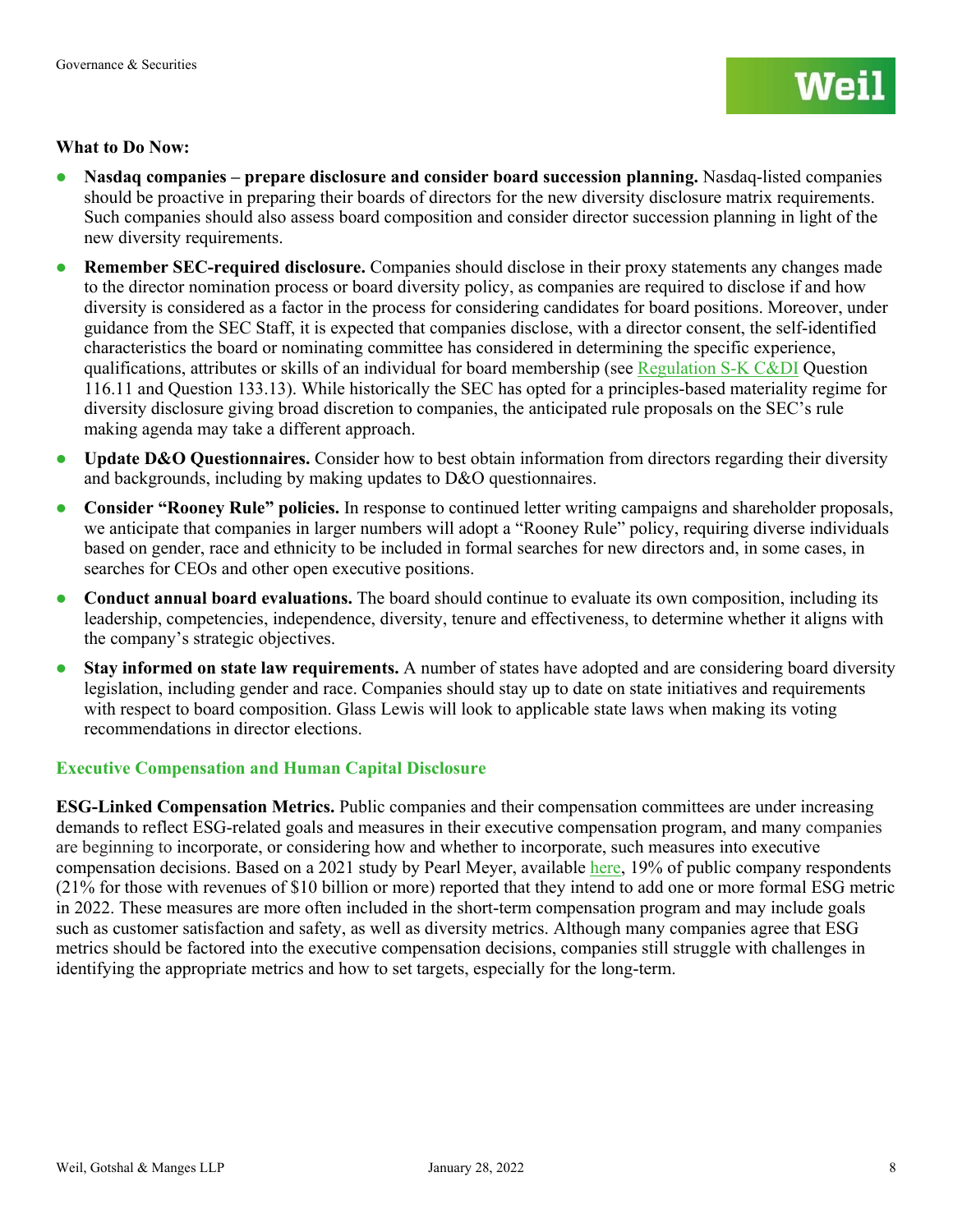#### **What to Do Now:**

- **Nasdaq companies – prepare disclosure and consider board succession planning.** Nasdaq-listed companies should be proactive in preparing their boards of directors for the new diversity disclosure matrix requirements. Such companies should also assess board composition and consider director succession planning in light of the new diversity requirements.
- **Remember SEC-required disclosure.** Companies should disclose in their proxy statements any changes made to the director nomination process or board diversity policy, as companies are required to disclose if and how diversity is considered as a factor in the process for considering candidates for board positions. Moreover, under guidance from the SEC Staff, it is expected that companies disclose, with a director consent, the self-identified characteristics the board or nominating committee has considered in determining the specific experience, qualifications, attributes or skills of an individual for board membership (see [Regulation S-K C&DI](https://www.sec.gov/divisions/corpfin/guidance/regs-kinterp.htm) Question 116.11 and Question 133.13). While historically the SEC has opted for a principles-based materiality regime for diversity disclosure giving broad discretion to companies, the anticipated rule proposals on the SEC's rule making agenda may take a different approach.
- **•** Update D&O Questionnaires. Consider how to best obtain information from directors regarding their diversity and backgrounds, including by making updates to D&O questionnaires.
- **Consider "Rooney Rule" policies.** In response to continued letter writing campaigns and shareholder proposals, we anticipate that companies in larger numbers will adopt a "Rooney Rule" policy, requiring diverse individuals based on gender, race and ethnicity to be included in formal searches for new directors and, in some cases, in searches for CEOs and other open executive positions.
- **Conduct annual board evaluations.** The board should continue to evaluate its own composition, including its leadership, competencies, independence, diversity, tenure and effectiveness, to determine whether it aligns with the company's strategic objectives.
- **Stay informed on state law requirements.** A number of states have adopted and are considering board diversity legislation, including gender and race. Companies should stay up to date on state initiatives and requirements with respect to board composition. Glass Lewis will look to applicable state laws when making its voting recommendations in director elections.

#### **Executive Compensation and Human Capital Disclosure**

**ESG-Linked Compensation Metrics.** Public companies and their compensation committees are under increasing demands to reflect ESG-related goals and measures in their executive compensation program, and many companies are beginning to incorporate, or considering how and whether to incorporate, such measures into executive compensation decisions. Based on a 2021 study by Pearl Meyer, available [here,](https://www.pearlmeyer.com/looking-ahead-executive-pay-practices-2022-executive-summary.pdf) 19% of public company respondents (21% for those with revenues of \$10 billion or more) reported that they intend to add one or more formal ESG metric in 2022. These measures are more often included in the short-term compensation program and may include goals such as customer satisfaction and safety, as well as diversity metrics. Although many companies agree that ESG metrics should be factored into the executive compensation decisions, companies still struggle with challenges in identifying the appropriate metrics and how to set targets, especially for the long-term.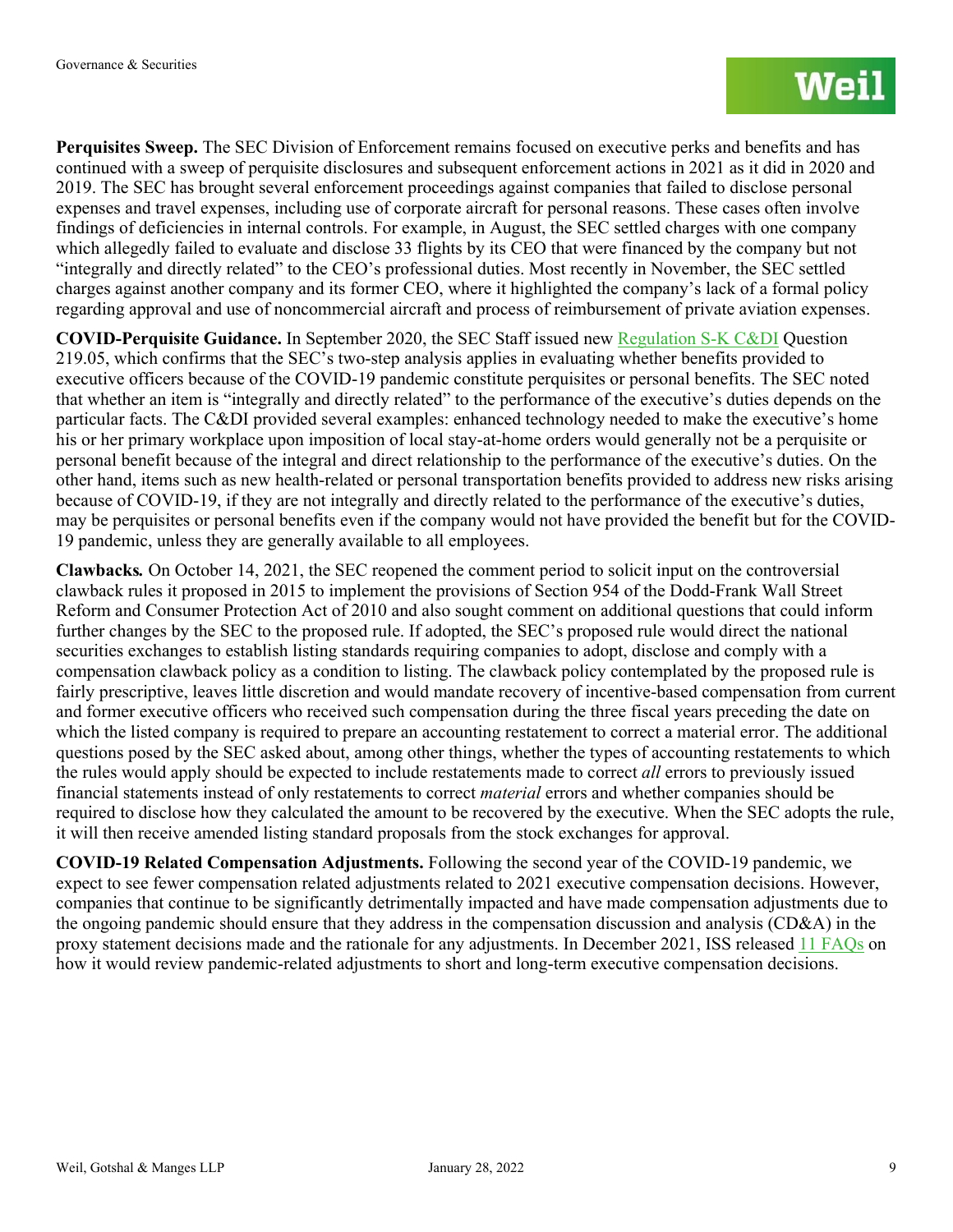**Perquisites Sweep.** The SEC Division of Enforcement remains focused on executive perks and benefits and has continued with a sweep of perquisite disclosures and subsequent enforcement actions in 2021 as it did in 2020 and 2019. The SEC has brought several enforcement proceedings against companies that failed to disclose personal expenses and travel expenses, including use of corporate aircraft for personal reasons. These cases often involve findings of deficiencies in internal controls. For example, in August, the SEC settled charges with one company which allegedly failed to evaluate and disclose 33 flights by its CEO that were financed by the company but not "integrally and directly related" to the CEO's professional duties. Most recently in November, the SEC settled charges against another company and its former CEO, where it highlighted the company's lack of a formal policy regarding approval and use of noncommercial aircraft and process of reimbursement of private aviation expenses.

**COVID-Perquisite Guidance.** In September 2020, the SEC Staff issued new [Regulation S-K C&DI](https://www.sec.gov/divisions/corpfin/guidance/regs-kinterp.htm) Question [219.05,](https://www.sec.gov/divisions/corpfin/guidance/regs-kinterp.htm) which confirms that the SEC's two-step analysis applies in evaluating whether benefits provided to executive officers because of the COVID-19 pandemic constitute perquisites or personal benefits. The SEC noted that whether an item is "integrally and directly related" to the performance of the executive's duties depends on the particular facts. The C&DI provided several examples: enhanced technology needed to make the executive's home his or her primary workplace upon imposition of local stay-at-home orders would generally not be a perquisite or personal benefit because of the integral and direct relationship to the performance of the executive's duties. On the other hand, items such as new health-related or personal transportation benefits provided to address new risks arising because of COVID-19, if they are not integrally and directly related to the performance of the executive's duties, may be perquisites or personal benefits even if the company would not have provided the benefit but for the COVID-19 pandemic, unless they are generally available to all employees.

**Clawbacks***.* On October 14, 2021, the SEC reopened the comment period to solicit input on the controversial clawback rules it proposed in 2015 to implement the provisions of Section 954 of the Dodd-Frank Wall Street Reform and Consumer Protection Act of 2010 and also sought comment on additional questions that could inform further changes by the SEC to the proposed rule. If adopted, the SEC's proposed rule would direct the national securities exchanges to establish listing standards requiring companies to adopt, disclose and comply with a compensation clawback policy as a condition to listing. The clawback policy contemplated by the proposed rule is fairly prescriptive, leaves little discretion and would mandate recovery of incentive-based compensation from current and former executive officers who received such compensation during the three fiscal years preceding the date on which the listed company is required to prepare an accounting restatement to correct a material error. The additional questions posed by the SEC asked about, among other things, whether the types of accounting restatements to which the rules would apply should be expected to include restatements made to correct *all* errors to previously issued financial statements instead of only restatements to correct *material* errors and whether companies should be required to disclose how they calculated the amount to be recovered by the executive. When the SEC adopts the rule, it will then receive amended listing standard proposals from the stock exchanges for approval.

**COVID-19 Related Compensation Adjustments.** Following the second year of the COVID-19 pandemic, we expect to see fewer compensation related adjustments related to 2021 executive compensation decisions. However, companies that continue to be significantly detrimentally impacted and have made compensation adjustments due to the ongoing pandemic should ensure that they address in the compensation discussion and analysis (CD&A) in the proxy statement decisions made and the rationale for any adjustments. In December 2021, ISS released [11 FAQs](https://www.issgovernance.com/file/policy/latest/americas/US-Compensation-Policies-and-the-COVID-19-Pandemic.pdf) on how it would review pandemic-related adjustments to short and long-term executive compensation decisions.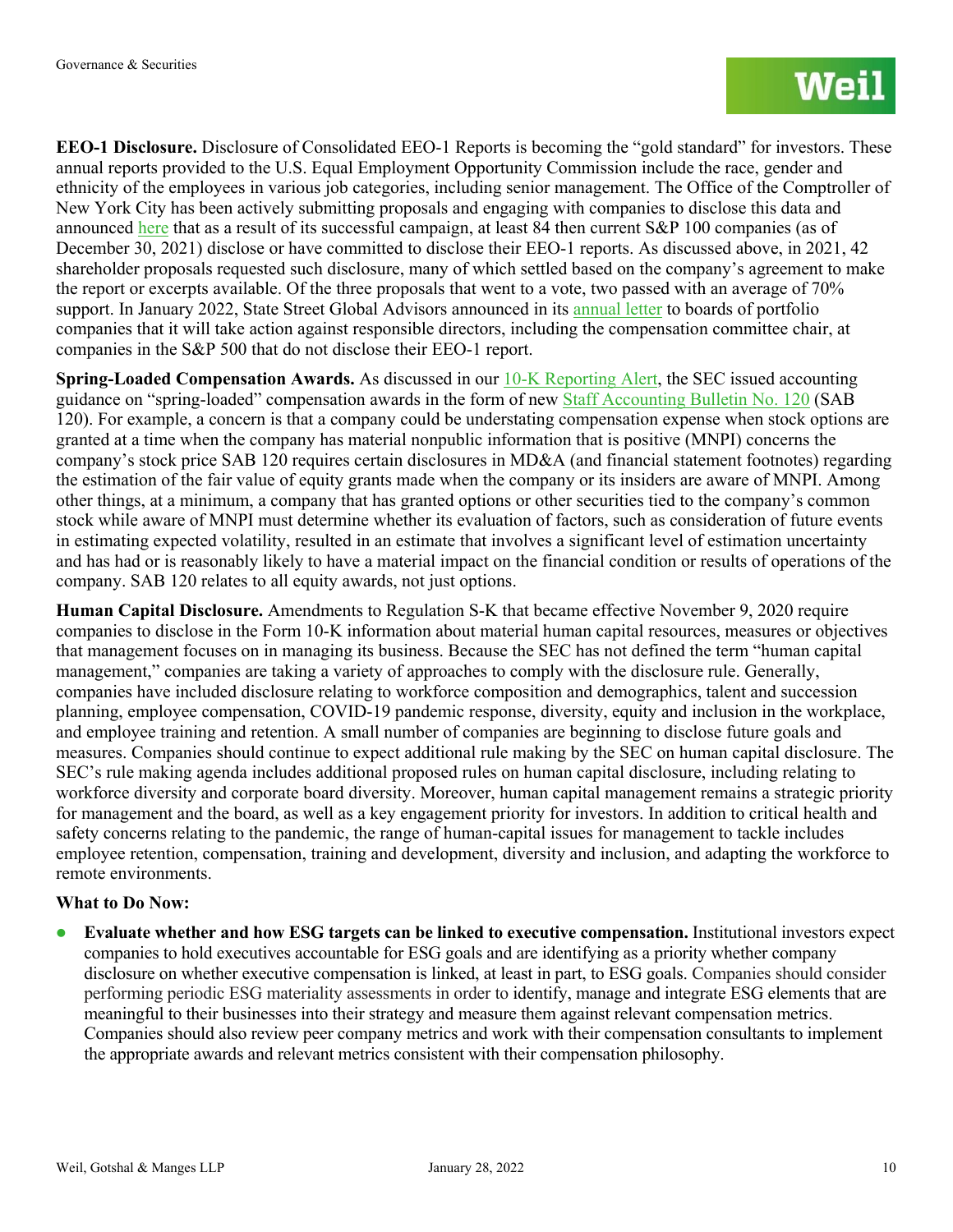**EEO-1 Disclosure.** Disclosure of Consolidated EEO-1 Reports is becoming the "gold standard" for investors. These annual reports provided to the U.S. Equal Employment Opportunity Commission include the race, gender and ethnicity of the employees in various job categories, including senior management. The Office of the Comptroller of New York City has been actively submitting proposals and engaging with companies to disclose this data and announced [here](https://comptroller.nyc.gov/newsroom/comptroller-stringer-nyc-funds-release-2021-shareowner-initiatives-postseason-report/) that as a result of its successful campaign, at least 84 then current S&P 100 companies (as of December 30, 2021) disclose or have committed to disclose their EEO-1 reports. As discussed above, in 2021, 42 shareholder proposals requested such disclosure, many of which settled based on the company's agreement to make the report or excerpts available. Of the three proposals that went to a vote, two passed with an average of 70% support. In January 2022, State Street Global Advisors announced in its [annual letter](https://www.ssga.com/us/en/individual/mf/insights/ceo-letter-2022-proxy-voting-agenda) to boards of portfolio companies that it will take action against responsible directors, including the compensation committee chair, at companies in the S&P 500 that do not disclose their EEO-1 report.

**Spring-Loaded Compensation Awards.** As discussed in our [10-K Reporting Alert,](https://www.weil.com/-/media/files/pdfs/2022/key-financial-reporting-tips-for-form-10k-drafters.pdf) the SEC issued accounting guidance on "spring-loaded" compensation awards in the form of new [Staff Accounting Bulletin No. 120](https://www.sec.gov/oca/staff-accounting-bulletin-120) (SAB 120). For example, a concern is that a company could be understating compensation expense when stock options are granted at a time when the company has material nonpublic information that is positive (MNPI) concerns the company's stock price SAB 120 requires certain disclosures in MD&A (and financial statement footnotes) regarding the estimation of the fair value of equity grants made when the company or its insiders are aware of MNPI. Among other things, at a minimum, a company that has granted options or other securities tied to the company's common stock while aware of MNPI must determine whether its evaluation of factors, such as consideration of future events in estimating expected volatility, resulted in an estimate that involves a significant level of estimation uncertainty and has had or is reasonably likely to have a material impact on the financial condition or results of operations of the company. SAB 120 relates to all equity awards, not just options.

**Human Capital Disclosure.** Amendments to Regulation S-K that became effective November 9, 2020 require companies to disclose in the Form 10-K information about material human capital resources, measures or objectives that management focuses on in managing its business. Because the SEC has not defined the term "human capital management," companies are taking a variety of approaches to comply with the disclosure rule. Generally, companies have included disclosure relating to workforce composition and demographics, talent and succession planning, employee compensation, COVID-19 pandemic response, diversity, equity and inclusion in the workplace, and employee training and retention. A small number of companies are beginning to disclose future goals and measures. Companies should continue to expect additional rule making by the SEC on human capital disclosure. The SEC's rule making agenda includes additional proposed rules on human capital disclosure, including relating to workforce diversity and corporate board diversity. Moreover, human capital management remains a strategic priority for management and the board, as well as a key engagement priority for investors. In addition to critical health and safety concerns relating to the pandemic, the range of human-capital issues for management to tackle includes employee retention, compensation, training and development, diversity and inclusion, and adapting the workforce to remote environments.

#### **What to Do Now:**

 **Evaluate whether and how ESG targets can be linked to executive compensation.** Institutional investors expect companies to hold executives accountable for ESG goals and are identifying as a priority whether company disclosure on whether executive compensation is linked, at least in part, to ESG goals. Companies should consider performing periodic ESG materiality assessments in order to identify, manage and integrate ESG elements that are meaningful to their businesses into their strategy and measure them against relevant compensation metrics. Companies should also review peer company metrics and work with their compensation consultants to implement the appropriate awards and relevant metrics consistent with their compensation philosophy.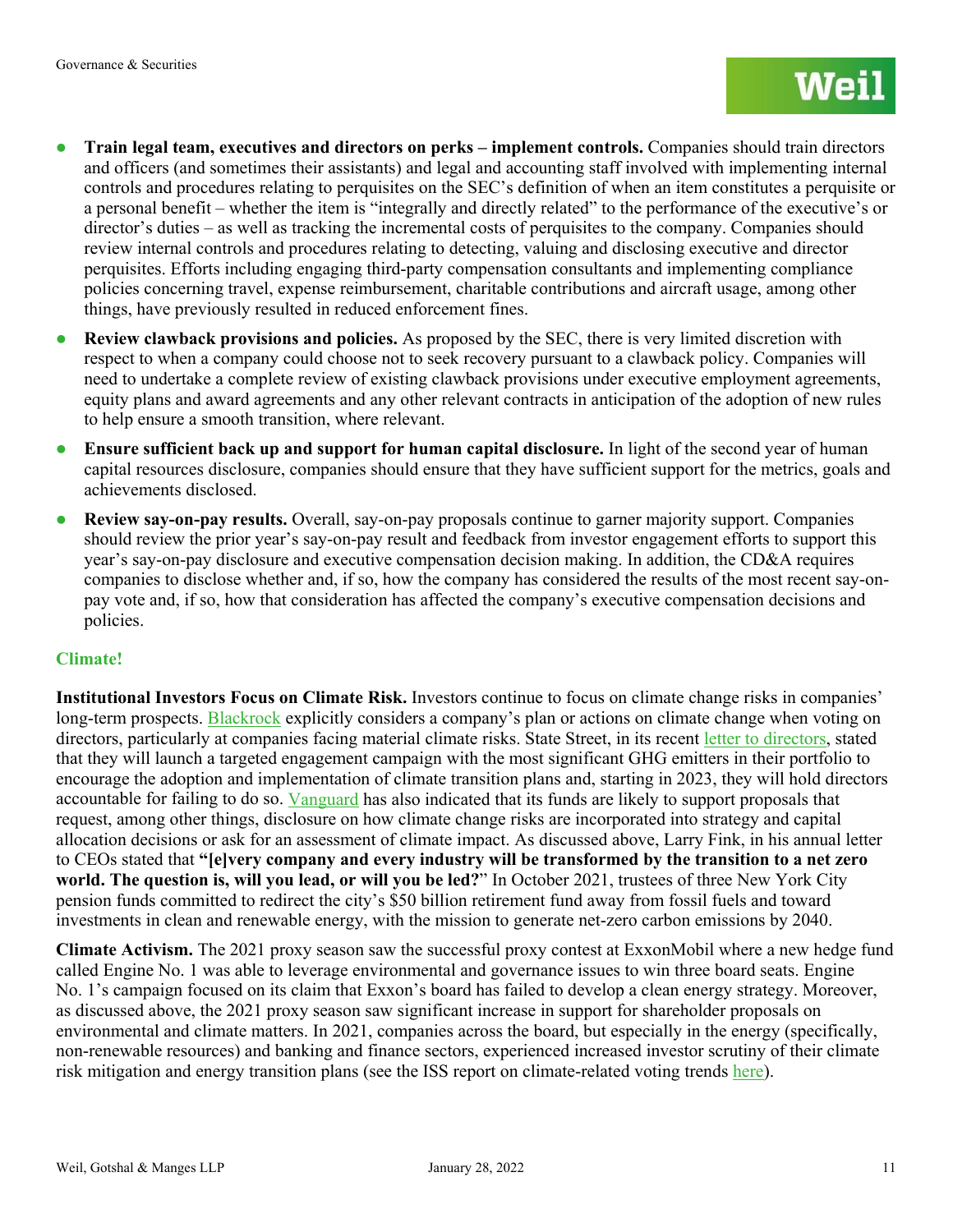- **Train legal team, executives and directors on perks – implement controls.** Companies should train directors and officers (and sometimes their assistants) and legal and accounting staff involved with implementing internal controls and procedures relating to perquisites on the SEC's definition of when an item constitutes a perquisite or a personal benefit – whether the item is "integrally and directly related" to the performance of the executive's or director's duties – as well as tracking the incremental costs of perquisites to the company. Companies should review internal controls and procedures relating to detecting, valuing and disclosing executive and director perquisites. Efforts including engaging third-party compensation consultants and implementing compliance policies concerning travel, expense reimbursement, charitable contributions and aircraft usage, among other things, have previously resulted in reduced enforcement fines.
- **Review clawback provisions and policies.** As proposed by the SEC, there is very limited discretion with respect to when a company could choose not to seek recovery pursuant to a clawback policy. Companies will need to undertake a complete review of existing clawback provisions under executive employment agreements, equity plans and award agreements and any other relevant contracts in anticipation of the adoption of new rules to help ensure a smooth transition, where relevant.
- **Ensure sufficient back up and support for human capital disclosure.** In light of the second year of human capital resources disclosure, companies should ensure that they have sufficient support for the metrics, goals and achievements disclosed.
- **Review say-on-pay results.** Overall, say-on-pay proposals continue to garner majority support. Companies should review the prior year's say-on-pay result and feedback from investor engagement efforts to support this year's say-on-pay disclosure and executive compensation decision making. In addition, the CD&A requires companies to disclose whether and, if so, how the company has considered the results of the most recent say-onpay vote and, if so, how that consideration has affected the company's executive compensation decisions and policies.

#### **Climate!**

**Institutional Investors Focus on Climate Risk.** Investors continue to focus on climate change risks in companies' long-term prospects. [Blackrock](https://www.blackrock.com/corporate/literature/fact-sheet/blk-responsible-investment-guidelines-us.pdf) explicitly considers a company's plan or actions on climate change when voting on directors, particularly at companies facing material climate risks. State Street, in its recent [letter to directors,](https://www.ssga.com/us/en/individual/mf/insights/ceo-letter-2022-proxy-voting-agenda) stated that they will launch a targeted engagement campaign with the most significant GHG emitters in their portfolio to encourage the adoption and implementation of climate transition plans and, starting in 2023, they will hold directors accountable for failing to do so. [Vanguard](https://www.thecorporatecounsel.net/GreatGovernance/member/Portal/Memos/04_21_Vanguard.pdf) has also indicated that its funds are likely to support proposals that request, among other things, disclosure on how climate change risks are incorporated into strategy and capital allocation decisions or ask for an assessment of climate impact. As discussed above, Larry Fink, in his annual letter to CEOs stated that **"[e]very company and every industry will be transformed by the transition to a net zero world. The question is, will you lead, or will you be led?**" In October 2021, trustees of three New York City pension funds committed to redirect the city's \$50 billion retirement fund away from fossil fuels and toward investments in clean and renewable energy, with the mission to generate net-zero carbon emissions by 2040.

**Climate Activism.** The 2021 proxy season saw the successful proxy contest at ExxonMobil where a new hedge fund called Engine No. 1 was able to leverage environmental and governance issues to win three board seats. Engine No. 1's campaign focused on its claim that Exxon's board has failed to develop a clean energy strategy. Moreover, as discussed above, the 2021 proxy season saw significant increase in support for shareholder proposals on environmental and climate matters. In 2021, companies across the board, but especially in the energy (specifically, non-renewable resources) and banking and finance sectors, experienced increased investor scrutiny of their climate risk mitigation and energy transition plans (see the ISS report on climate-related voting trends [here\)](https://insights.issgovernance.com/posts/iss-releases-2021-u-s-proxy-season-climate-related-voting-trends-report/).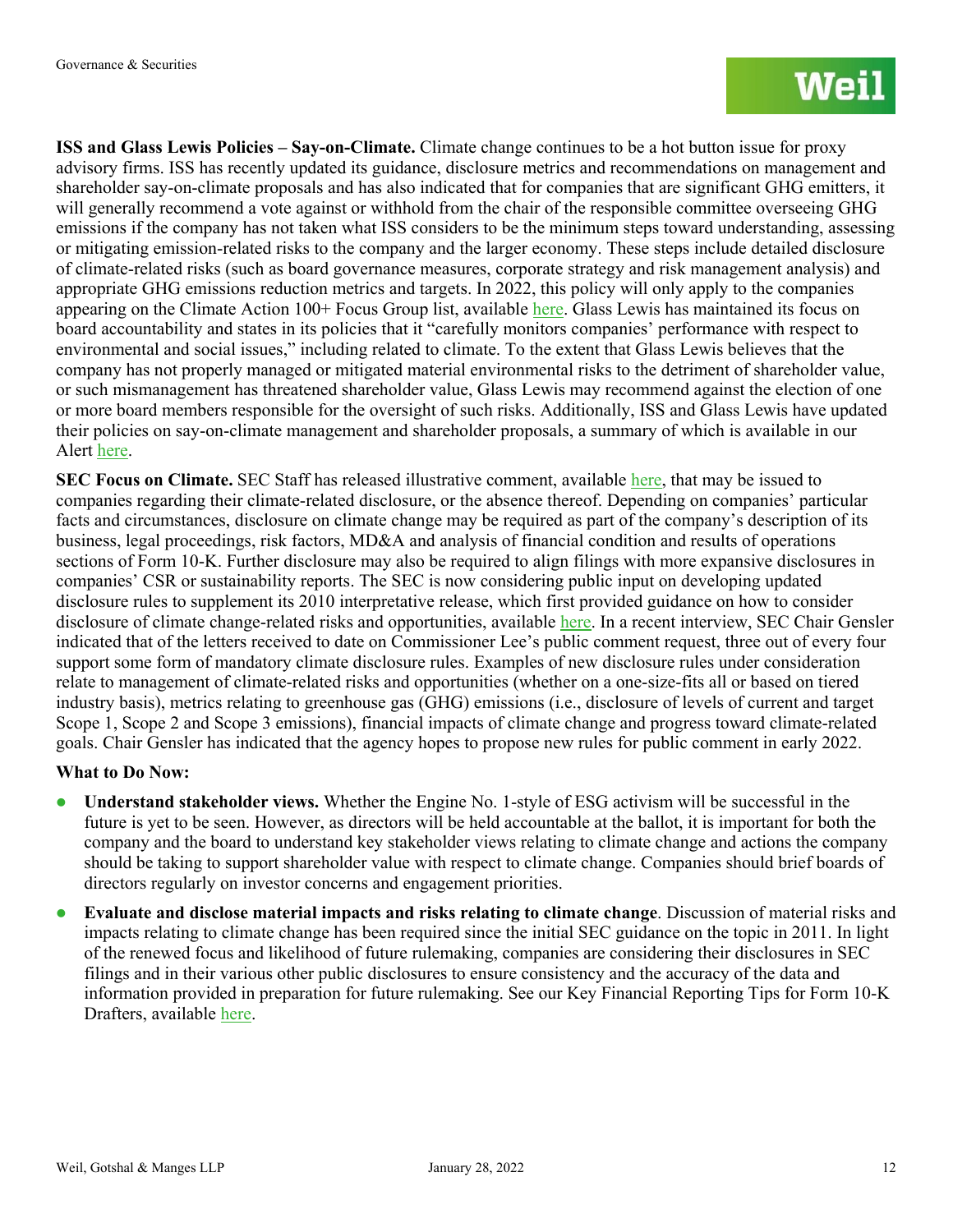**ISS and Glass Lewis Policies – Say-on-Climate.** Climate change continues to be a hot button issue for proxy advisory firms. ISS has recently updated its guidance, disclosure metrics and recommendations on management and shareholder say-on-climate proposals and has also indicated that for companies that are significant GHG emitters, it will generally recommend a vote against or withhold from the chair of the responsible committee overseeing GHG emissions if the company has not taken what ISS considers to be the minimum steps toward understanding, assessing or mitigating emission-related risks to the company and the larger economy. These steps include detailed disclosure of climate-related risks (such as board governance measures, corporate strategy and risk management analysis) and appropriate GHG emissions reduction metrics and targets. In 2022, this policy will only apply to the companies appearing on the Climate Action 100+ Focus Group list, available [here.](https://www.climateaction100.org/whos-involved/companies/) Glass Lewis has maintained its focus on board accountability and states in its policies that it "carefully monitors companies' performance with respect to environmental and social issues," including related to climate. To the extent that Glass Lewis believes that the company has not properly managed or mitigated material environmental risks to the detriment of shareholder value, or such mismanagement has threatened shareholder value, Glass Lewis may recommend against the election of one or more board members responsible for the oversight of such risks. Additionally, ISS and Glass Lewis have updated their policies on say-on-climate management and shareholder proposals, a summary of which is available in our Alert [here.](https://www.weil.com/-/media/mailings/2021/q4/211222heads-up-for-the-2022-proxy-seasonnew-and-revised-iss-and-glass-lewis-policies-focus-on-board.pdf)

**SEC Focus on Climate.** SEC Staff has released illustrative comment, available [here,](https://www.sec.gov/corpfin/sample-letter-climate-change-disclosures?utm_medium=email&utm_source=govdelivery) that may be issued to companies regarding their climate-related disclosure, or the absence thereof. Depending on companies' particular facts and circumstances, disclosure on climate change may be required as part of the company's description of its business, legal proceedings, risk factors, MD&A and analysis of financial condition and results of operations sections of Form 10-K. Further disclosure may also be required to align filings with more expansive disclosures in companies' CSR or sustainability reports. The SEC is now considering public input on developing updated disclosure rules to supplement its 2010 interpretative release, which first provided guidance on how to consider disclosure of climate change-related risks and opportunities, available [here.](https://www.sec.gov/rules/interp/2010/33-9106.pdf) In a recent interview, SEC Chair Gensler indicated that of the letters received to date on Commissioner Lee's public comment request, three out of every four support some form of mandatory climate disclosure rules. Examples of new disclosure rules under consideration relate to management of climate-related risks and opportunities (whether on a one-size-fits all or based on tiered industry basis), metrics relating to greenhouse gas (GHG) emissions (i.e., disclosure of levels of current and target Scope 1, Scope 2 and Scope 3 emissions), financial impacts of climate change and progress toward climate-related goals. Chair Gensler has indicated that the agency hopes to propose new rules for public comment in early 2022.

#### **What to Do Now:**

- **Understand stakeholder views.** Whether the Engine No. 1-style of ESG activism will be successful in the future is yet to be seen. However, as directors will be held accountable at the ballot, it is important for both the company and the board to understand key stakeholder views relating to climate change and actions the company should be taking to support shareholder value with respect to climate change. Companies should brief boards of directors regularly on investor concerns and engagement priorities.
- **Evaluate and disclose material impacts and risks relating to climate change**. Discussion of material risks and impacts relating to climate change has been required since the initial SEC guidance on the topic in 2011. In light of the renewed focus and likelihood of future rulemaking, companies are considering their disclosures in SEC filings and in their various other public disclosures to ensure consistency and the accuracy of the data and information provided in preparation for future rulemaking. See our Key Financial Reporting Tips for Form 10-K Drafters, available [here.](https://www.weil.com/-/media/mailings/pcag-alertkey-financial-reporting-tips-for-form-10k-drafters11822.pdf)